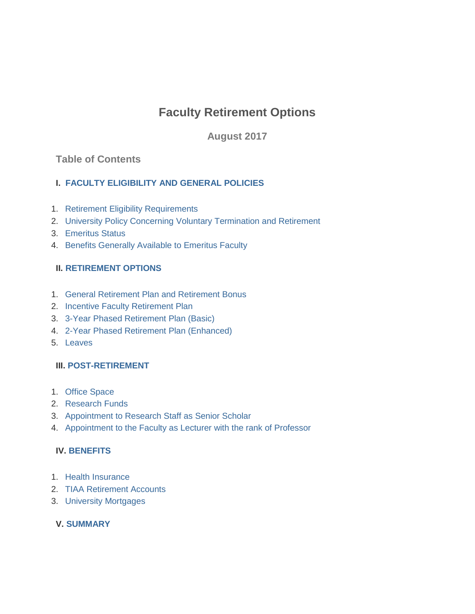# **Faculty Retirement Options**

**August 2017**

## **Table of Contents**

## **I. [FACULTY ELIGIBILITY AND GENERAL POLICIES](https://dofedit.princeton.edu/dof/policies/publ/fac/firp/retirement#comp00004b5ede7c00000105907cb3)**

- 1. [Retirement Eligibility Requirements](https://dofedit.princeton.edu/dof/policies/publ/fac/firp/retirement#comp00004b5ede7c00000105947cb3)
- 2. [University Policy Concerning Voluntary Termination and Retirement](https://dofedit.princeton.edu/dof/policies/publ/fac/firp/retirement#comp00004b5ede7c00000105e27cb3)
- 3. [Emeritus Status](https://dofedit.princeton.edu/dof/policies/publ/fac/firp/retirement#comp00004b5ede7c00000105fc7cb3)
- 4. [Benefits Generally Available to Emeritus Faculty](https://dofedit.princeton.edu/dof/policies/publ/fac/firp/retirement#comp000056729f6c000000170044a2)

## **II. [RETIREMENT OPTIONS](https://dofedit.princeton.edu/dof/policies/publ/fac/firp/retirement#comp00004b5ede7c00000106737cb3)**

- 1. [General Retirement Plan and Retirement Bonus](https://dofedit.princeton.edu/dof/policies/publ/fac/firp/retirement#comp00004b5ede7c00000106bc7cb3)
- 2. Incentive [Faculty Retirement Plan](https://dofedit.princeton.edu/dof/policies/publ/fac/firp/retirement#comp00004b5ede7c00000106a37cb3)
- 3. 3-Year [Phased Retirement Plan](https://dofedit.princeton.edu/dof/policies/publ/fac/firp/retirement#comp00004b717fc6000000190c40a4) (Basic)
- 4. 2-Year [Phased Retirement Plan](https://dofedit.princeton.edu/dof/policies/publ/fac/firp/retirement#comp00004b717fc6000000190e40a4) (Enhanced)
- 5. Leaves

## **III. [POST-RETIREMENT](https://dofedit.princeton.edu/dof/policies/publ/fac/firp/retirement#comp00004b717fc6000000191040a4)**

- 1. [Office Space](https://dofedit.princeton.edu/dof/policies/publ/fac/firp/retirement#comp00004b717fc6000000191240a4)
- 2. [Research Funds](https://dofedit.princeton.edu/dof/policies/publ/fac/firp/retirement#comp00004b717fc6000000191740a4)
- 3. [Appointment to Research Staff as Senior Scholar](https://dofedit.princeton.edu/dof/policies/publ/fac/firp/retirement#comp00004b717fc6000000191a40a4)
- 4. [Appointment to the Faculty as Lecturer with the rank of Professor](https://dofedit.princeton.edu/dof/policies/publ/fac/firp/retirement#comp00004b717fc6000000191d40a4)

#### **IV. [BENEFITS](https://dofedit.princeton.edu/dof/policies/publ/fac/firp/retirement#comp00004b717fc6000000191f40a4)**

- 1. [Health Insurance](https://dofedit.princeton.edu/dof/policies/publ/fac/firp/retirement#comp00004b717fc6000000192140a4)
- 2. [TIAA Retirement Accounts](https://dofedit.princeton.edu/dof/policies/publ/fac/firp/retirement#comp00004b717fc6000000192840a4)
- 3. [University Mortgages](https://dofedit.princeton.edu/dof/policies/publ/fac/firp/retirement#comp00004b717fc6000000192f40a4)

## **V. [SUMMARY](https://dofedit.princeton.edu/dof/policies/publ/fac/firp/retirement#comp00004b717fc600000019ca40a4)**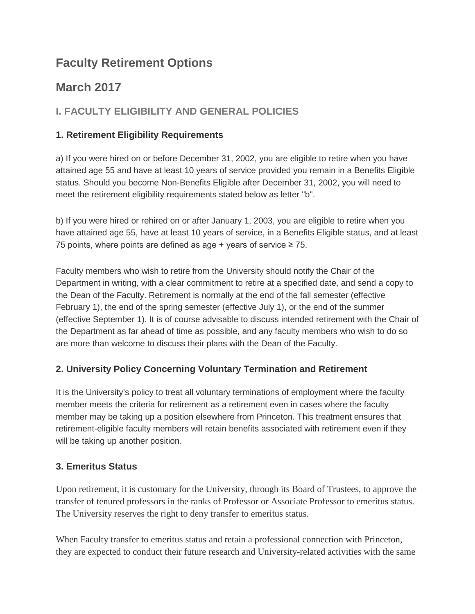## **Faculty Retirement Options**

# **March 2017**

## **I. FACULTY ELIGIBILITY AND GENERAL POLICIES**

## **1. Retirement Eligibility Requirements**

a) If you were hired on or before December 31, 2002, you are eligible to retire when you have attained age 55 and have at least 10 years of service provided you remain in a Benefits Eligible status. Should you become Non-Benefits Eligible after December 31, 2002, you will need to meet the retirement eligibility requirements stated below as letter "b".

b) If you were hired or rehired on or after January 1, 2003, you are eligible to retire when you have attained age 55, have at least 10 years of service, in a Benefits Eligible status, and at least 75 points, where points are defined as age + years of service  $\geq$  75.

Faculty members who wish to retire from the University should notify the Chair of the Department in writing, with a clear commitment to retire at a specified date, and send a copy to the Dean of the Faculty. Retirement is normally at the end of the fall semester (effective February 1), the end of the spring semester (effective July 1), or the end of the summer (effective September 1). It is of course advisable to discuss intended retirement with the Chair of the Department as far ahead of time as possible, and any faculty members who wish to do so are more than welcome to discuss their plans with the Dean of the Faculty.

## **2. University Policy Concerning Voluntary Termination and Retirement**

It is the University's policy to treat all voluntary terminations of employment where the faculty member meets the criteria for retirement as a retirement even in cases where the faculty member may be taking up a position elsewhere from Princeton. This treatment ensures that retirement-eligible faculty members will retain benefits associated with retirement even if they will be taking up another position.

## **3. Emeritus Status**

Upon retirement, it is customary for the University, through its Board of Trustees, to approve the transfer of tenured professors in the ranks of Professor or Associate Professor to emeritus status. The University reserves the right to deny transfer to emeritus status.

When Faculty transfer to emeritus status and retain a professional connection with Princeton, they are expected to conduct their future research and University-related activities with the same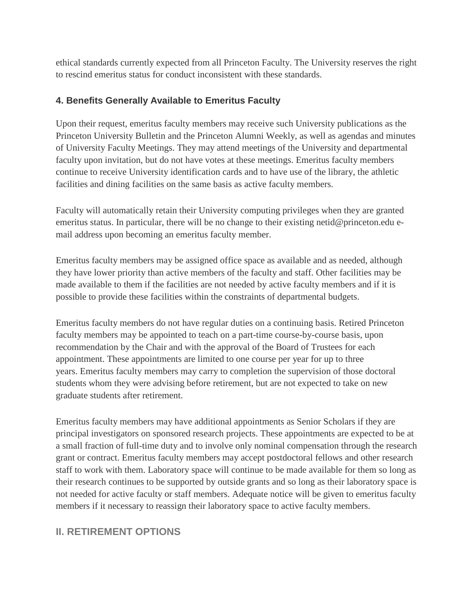ethical standards currently expected from all Princeton Faculty. The University reserves the right to rescind emeritus status for conduct inconsistent with these standards.

## **4. Benefits Generally Available to Emeritus Faculty**

Upon their request, emeritus faculty members may receive such University publications as the Princeton University Bulletin and the Princeton Alumni Weekly, as well as agendas and minutes of University Faculty Meetings. They may attend meetings of the University and departmental faculty upon invitation, but do not have votes at these meetings. Emeritus faculty members continue to receive University identification cards and to have use of the library, the athletic facilities and dining facilities on the same basis as active faculty members.

Faculty will automatically retain their University computing privileges when they are granted emeritus status. In particular, there will be no change to their existing netid@princeton.edu email address upon becoming an emeritus faculty member.

Emeritus faculty members may be assigned office space as available and as needed, although they have lower priority than active members of the faculty and staff. Other facilities may be made available to them if the facilities are not needed by active faculty members and if it is possible to provide these facilities within the constraints of departmental budgets.

Emeritus faculty members do not have regular duties on a continuing basis. Retired Princeton faculty members may be appointed to teach on a part-time course-by-course basis, upon recommendation by the Chair and with the approval of the Board of Trustees for each appointment. These appointments are limited to one course per year for up to three years. Emeritus faculty members may carry to completion the supervision of those doctoral students whom they were advising before retirement, but are not expected to take on new graduate students after retirement.

Emeritus faculty members may have additional appointments as Senior Scholars if they are principal investigators on sponsored research projects. These appointments are expected to be at a small fraction of full-time duty and to involve only nominal compensation through the research grant or contract. Emeritus faculty members may accept postdoctoral fellows and other research staff to work with them. Laboratory space will continue to be made available for them so long as their research continues to be supported by outside grants and so long as their laboratory space is not needed for active faculty or staff members. Adequate notice will be given to emeritus faculty members if it necessary to reassign their laboratory space to active faculty members.

## **II. RETIREMENT OPTIONS**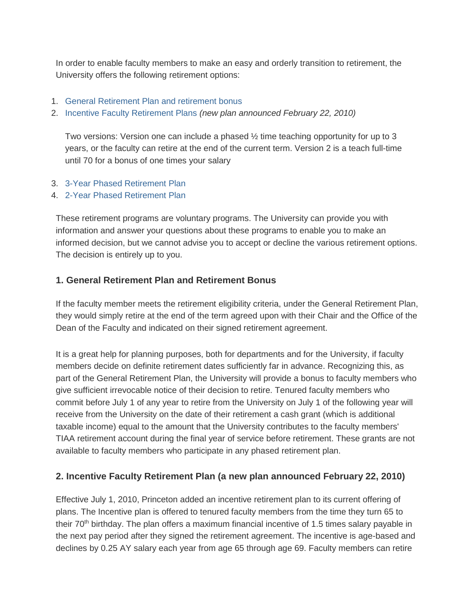In order to enable faculty members to make an easy and orderly transition to retirement, the University offers the following retirement options:

- 1. [General Retirement Plan and retirement bonus](https://dofedit.princeton.edu/dof/policies/publ/fac/firp/retirement/#comp00004b5ede7c00000106bc7cb3)
- 2. [Incentive Faculty Retirement Plans](https://dofedit.princeton.edu/dof/policies/publ/fac/firp/retirement/#comp00004b5ede7c00000106a37cb3) *(new plan announced February 22, 2010)*

Two versions: Version one can include a phased  $\frac{1}{2}$  time teaching opportunity for up to 3 years, or the faculty can retire at the end of the current term. Version 2 is a teach full-time until 70 for a bonus of one times your salary

- 3. 3-Year [Phased Retirement Plan](https://dofedit.princeton.edu/dof/policies/publ/fac/firp/retirement/#comp00004b717fc6000000190c40a4)
- 4. 2-Year [Phased Retirement Plan](https://dofedit.princeton.edu/dof/policies/publ/fac/firp/retirement/#comp00004b717fc6000000190e40a4)

These retirement programs are voluntary programs. The University can provide you with information and answer your questions about these programs to enable you to make an informed decision, but we cannot advise you to accept or decline the various retirement options. The decision is entirely up to you.

#### **1. General Retirement Plan and Retirement Bonus**

If the faculty member meets the retirement eligibility criteria, under the General Retirement Plan, they would simply retire at the end of the term agreed upon with their Chair and the Office of the Dean of the Faculty and indicated on their signed retirement agreement.

It is a great help for planning purposes, both for departments and for the University, if faculty members decide on definite retirement dates sufficiently far in advance. Recognizing this, as part of the General Retirement Plan, the University will provide a bonus to faculty members who give sufficient irrevocable notice of their decision to retire. Tenured faculty members who commit before July 1 of any year to retire from the University on July 1 of the following year will receive from the University on the date of their retirement a cash grant (which is additional taxable income) equal to the amount that the University contributes to the faculty members' TIAA retirement account during the final year of service before retirement. These grants are not available to faculty members who participate in any phased retirement plan.

## **2. Incentive Faculty Retirement Plan (a new plan announced February 22, 2010)**

Effective July 1, 2010, Princeton added an incentive retirement plan to its current offering of plans. The Incentive plan is offered to tenured faculty members from the time they turn 65 to their 70<sup>th</sup> birthday. The plan offers a maximum financial incentive of 1.5 times salary payable in the next pay period after they signed the retirement agreement. The incentive is age-based and declines by 0.25 AY salary each year from age 65 through age 69. Faculty members can retire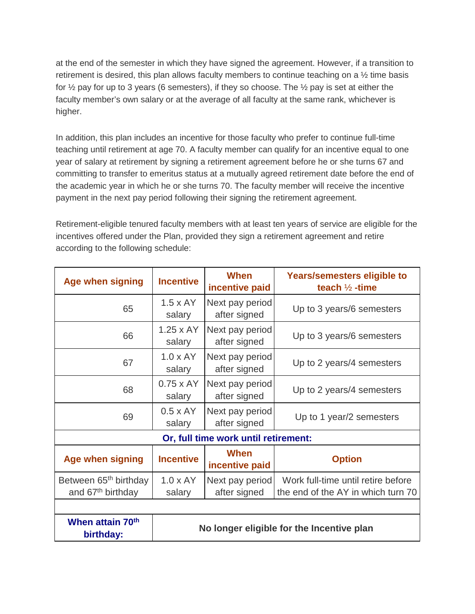at the end of the semester in which they have signed the agreement. However, if a transition to retirement is desired, this plan allows faculty members to continue teaching on a ½ time basis for  $\frac{1}{2}$  pay for up to 3 years (6 semesters), if they so choose. The  $\frac{1}{2}$  pay is set at either the faculty member's own salary or at the average of all faculty at the same rank, whichever is higher.

In addition, this plan includes an incentive for those faculty who prefer to continue full-time teaching until retirement at age 70. A faculty member can qualify for an incentive equal to one year of salary at retirement by signing a retirement agreement before he or she turns 67 and committing to transfer to emeritus status at a mutually agreed retirement date before the end of the academic year in which he or she turns 70. The faculty member will receive the incentive payment in the next pay period following their signing the retirement agreement.

Retirement-eligible tenured faculty members with at least ten years of service are eligible for the incentives offered under the Plan, provided they sign a retirement agreement and retire according to the following schedule:

| <b>Age when signing</b>                                            | <b>Incentive</b>                          | When<br>incentive paid          | Years/semesters eligible to<br>teach $\frac{1}{2}$ -time                 |  |  |  |  |  |  |
|--------------------------------------------------------------------|-------------------------------------------|---------------------------------|--------------------------------------------------------------------------|--|--|--|--|--|--|
| 65                                                                 | $1.5 \times AY$<br>salary                 | Next pay period<br>after signed | Up to 3 years/6 semesters                                                |  |  |  |  |  |  |
| 66                                                                 | $1.25 \times AY$<br>salary                | Next pay period<br>after signed | Up to 3 years/6 semesters                                                |  |  |  |  |  |  |
| 67                                                                 | $1.0 \times AY$<br>salary                 | Next pay period<br>after signed | Up to 2 years/4 semesters                                                |  |  |  |  |  |  |
| 68                                                                 | $0.75 \times AY$<br>salary                | Next pay period<br>after signed | Up to 2 years/4 semesters                                                |  |  |  |  |  |  |
| 69                                                                 | $0.5 \times AY$<br>salary                 | Next pay period<br>after signed | Up to 1 year/2 semesters                                                 |  |  |  |  |  |  |
| Or, full time work until retirement:                               |                                           |                                 |                                                                          |  |  |  |  |  |  |
| <b>Age when signing</b>                                            | <b>Incentive</b>                          | When<br>incentive paid          | <b>Option</b>                                                            |  |  |  |  |  |  |
| Between 65 <sup>th</sup> birthday<br>and 67 <sup>th</sup> birthday | $1.0 \times AY$<br>salary                 | Next pay period<br>after signed | Work full-time until retire before<br>the end of the AY in which turn 70 |  |  |  |  |  |  |
|                                                                    |                                           |                                 |                                                                          |  |  |  |  |  |  |
| When attain 70 <sup>th</sup><br>birthday:                          | No longer eligible for the Incentive plan |                                 |                                                                          |  |  |  |  |  |  |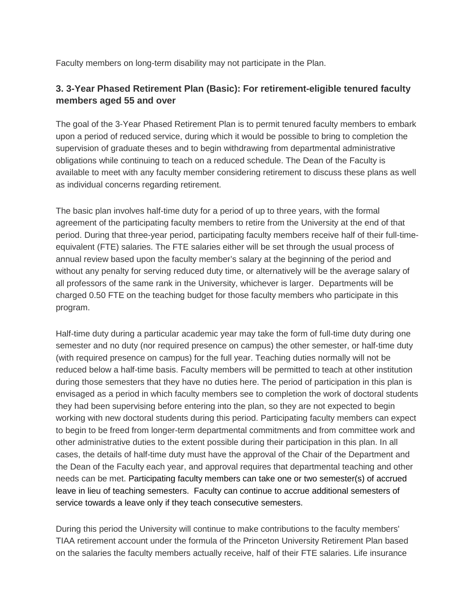Faculty members on long-term disability may not participate in the Plan.

## **3. 3-Year Phased Retirement Plan (Basic): For retirement-eligible tenured faculty members aged 55 and over**

The goal of the 3-Year Phased Retirement Plan is to permit tenured faculty members to embark upon a period of reduced service, during which it would be possible to bring to completion the supervision of graduate theses and to begin withdrawing from departmental administrative obligations while continuing to teach on a reduced schedule. The Dean of the Faculty is available to meet with any faculty member considering retirement to discuss these plans as well as individual concerns regarding retirement.

The basic plan involves half-time duty for a period of up to three years, with the formal agreement of the participating faculty members to retire from the University at the end of that period. During that three-year period, participating faculty members receive half of their full-timeequivalent (FTE) salaries. The FTE salaries either will be set through the usual process of annual review based upon the faculty member's salary at the beginning of the period and without any penalty for serving reduced duty time, or alternatively will be the average salary of all professors of the same rank in the University, whichever is larger. Departments will be charged 0.50 FTE on the teaching budget for those faculty members who participate in this program.

Half-time duty during a particular academic year may take the form of full-time duty during one semester and no duty (nor required presence on campus) the other semester, or half-time duty (with required presence on campus) for the full year. Teaching duties normally will not be reduced below a half-time basis. Faculty members will be permitted to teach at other institution during those semesters that they have no duties here. The period of participation in this plan is envisaged as a period in which faculty members see to completion the work of doctoral students they had been supervising before entering into the plan, so they are not expected to begin working with new doctoral students during this period. Participating faculty members can expect to begin to be freed from longer-term departmental commitments and from committee work and other administrative duties to the extent possible during their participation in this plan. In all cases, the details of half-time duty must have the approval of the Chair of the Department and the Dean of the Faculty each year, and approval requires that departmental teaching and other needs can be met. Participating faculty members can take one or two semester(s) of accrued leave in lieu of teaching semesters. Faculty can continue to accrue additional semesters of service towards a leave only if they teach consecutive semesters.

During this period the University will continue to make contributions to the faculty members' TIAA retirement account under the formula of the Princeton University Retirement Plan based on the salaries the faculty members actually receive, half of their FTE salaries. Life insurance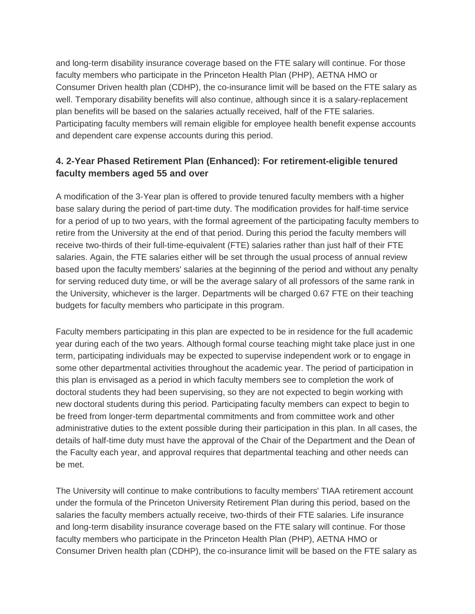and long-term disability insurance coverage based on the FTE salary will continue. For those faculty members who participate in the Princeton Health Plan (PHP), AETNA HMO or Consumer Driven health plan (CDHP), the co-insurance limit will be based on the FTE salary as well. Temporary disability benefits will also continue, although since it is a salary-replacement plan benefits will be based on the salaries actually received, half of the FTE salaries. Participating faculty members will remain eligible for employee health benefit expense accounts and dependent care expense accounts during this period.

## **4. 2-Year Phased Retirement Plan (Enhanced): For retirement-eligible tenured faculty members aged 55 and over**

A modification of the 3-Year plan is offered to provide tenured faculty members with a higher base salary during the period of part-time duty. The modification provides for half-time service for a period of up to two years, with the formal agreement of the participating faculty members to retire from the University at the end of that period. During this period the faculty members will receive two-thirds of their full-time-equivalent (FTE) salaries rather than just half of their FTE salaries. Again, the FTE salaries either will be set through the usual process of annual review based upon the faculty members' salaries at the beginning of the period and without any penalty for serving reduced duty time, or will be the average salary of all professors of the same rank in the University, whichever is the larger. Departments will be charged 0.67 FTE on their teaching budgets for faculty members who participate in this program.

Faculty members participating in this plan are expected to be in residence for the full academic year during each of the two years. Although formal course teaching might take place just in one term, participating individuals may be expected to supervise independent work or to engage in some other departmental activities throughout the academic year. The period of participation in this plan is envisaged as a period in which faculty members see to completion the work of doctoral students they had been supervising, so they are not expected to begin working with new doctoral students during this period. Participating faculty members can expect to begin to be freed from longer-term departmental commitments and from committee work and other administrative duties to the extent possible during their participation in this plan. In all cases, the details of half-time duty must have the approval of the Chair of the Department and the Dean of the Faculty each year, and approval requires that departmental teaching and other needs can be met.

The University will continue to make contributions to faculty members' TIAA retirement account under the formula of the Princeton University Retirement Plan during this period, based on the salaries the faculty members actually receive, two-thirds of their FTE salaries. Life insurance and long-term disability insurance coverage based on the FTE salary will continue. For those faculty members who participate in the Princeton Health Plan (PHP), AETNA HMO or Consumer Driven health plan (CDHP), the co-insurance limit will be based on the FTE salary as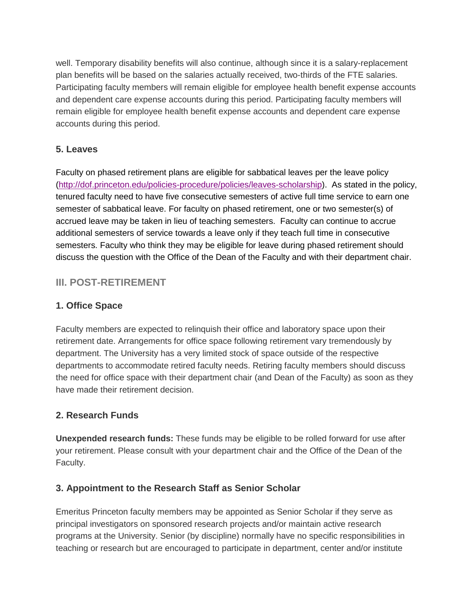well. Temporary disability benefits will also continue, although since it is a salary-replacement plan benefits will be based on the salaries actually received, two-thirds of the FTE salaries. Participating faculty members will remain eligible for employee health benefit expense accounts and dependent care expense accounts during this period. Participating faculty members will remain eligible for employee health benefit expense accounts and dependent care expense accounts during this period.

### **5. Leaves**

Faculty on phased retirement plans are eligible for sabbatical leaves per the leave policy [\(http://dof.princeton.edu/policies-procedure/policies/leaves-scholarship\)](http://dof.princeton.edu/policies-procedure/policies/leaves-scholarship). As stated in the policy, tenured faculty need to have five consecutive semesters of active full time service to earn one semester of sabbatical leave. For faculty on phased retirement, one or two semester(s) of accrued leave may be taken in lieu of teaching semesters. Faculty can continue to accrue additional semesters of service towards a leave only if they teach full time in consecutive semesters. Faculty who think they may be eligible for leave during phased retirement should discuss the question with the Office of the Dean of the Faculty and with their department chair.

## **III. POST-RETIREMENT**

## **1. Office Space**

Faculty members are expected to relinquish their office and laboratory space upon their retirement date. Arrangements for office space following retirement vary tremendously by department. The University has a very limited stock of space outside of the respective departments to accommodate retired faculty needs. Retiring faculty members should discuss the need for office space with their department chair (and Dean of the Faculty) as soon as they have made their retirement decision.

## **2. Research Funds**

**Unexpended research funds:** These funds may be eligible to be rolled forward for use after your retirement. Please consult with your department chair and the Office of the Dean of the Faculty.

#### **3. Appointment to the Research Staff as Senior Scholar**

Emeritus Princeton faculty members may be appointed as Senior Scholar if they serve as principal investigators on sponsored research projects and/or maintain active research programs at the University. Senior (by discipline) normally have no specific responsibilities in teaching or research but are encouraged to participate in department, center and/or institute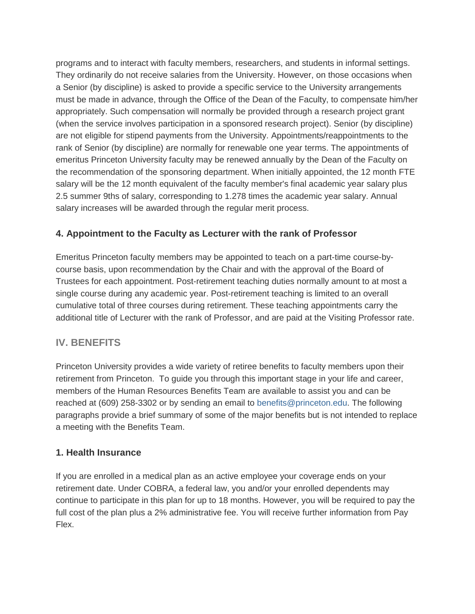programs and to interact with faculty members, researchers, and students in informal settings. They ordinarily do not receive salaries from the University. However, on those occasions when a Senior (by discipline) is asked to provide a specific service to the University arrangements must be made in advance, through the Office of the Dean of the Faculty, to compensate him/her appropriately. Such compensation will normally be provided through a research project grant (when the service involves participation in a sponsored research project). Senior (by discipline) are not eligible for stipend payments from the University. Appointments/reappointments to the rank of Senior (by discipline) are normally for renewable one year terms. The appointments of emeritus Princeton University faculty may be renewed annually by the Dean of the Faculty on the recommendation of the sponsoring department. When initially appointed, the 12 month FTE salary will be the 12 month equivalent of the faculty member's final academic year salary plus 2.5 summer 9ths of salary, corresponding to 1.278 times the academic year salary. Annual salary increases will be awarded through the regular merit process.

## **4. Appointment to the Faculty as Lecturer with the rank of Professor**

Emeritus Princeton faculty members may be appointed to teach on a part-time course-bycourse basis, upon recommendation by the Chair and with the approval of the Board of Trustees for each appointment. Post-retirement teaching duties normally amount to at most a single course during any academic year. Post-retirement teaching is limited to an overall cumulative total of three courses during retirement. These teaching appointments carry the additional title of Lecturer with the rank of Professor, and are paid at the Visiting Professor rate.

## **IV. BENEFITS**

Princeton University provides a wide variety of retiree benefits to faculty members upon their retirement from Princeton. To guide you through this important stage in your life and career, members of the Human Resources Benefits Team are available to assist you and can be reached at (609) 258-3302 or by sending an email to [benefits@princeton.edu.](mailto:benefits@princeton.edu) The following paragraphs provide a brief summary of some of the major benefits but is not intended to replace a meeting with the Benefits Team.

#### **1. Health Insurance**

If you are enrolled in a medical plan as an active employee your coverage ends on your retirement date. Under COBRA, a federal law, you and/or your enrolled dependents may continue to participate in this plan for up to 18 months. However, you will be required to pay the full cost of the plan plus a 2% administrative fee. You will receive further information from Pay Flex.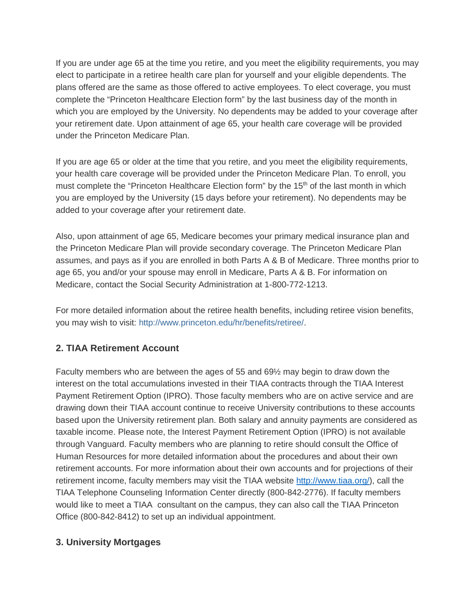If you are under age 65 at the time you retire, and you meet the eligibility requirements, you may elect to participate in a retiree health care plan for yourself and your eligible dependents. The plans offered are the same as those offered to active employees. To elect coverage, you must complete the "Princeton Healthcare Election form" by the last business day of the month in which you are employed by the University. No dependents may be added to your coverage after your retirement date. Upon attainment of age 65, your health care coverage will be provided under the Princeton Medicare Plan.

If you are age 65 or older at the time that you retire, and you meet the eligibility requirements, your health care coverage will be provided under the Princeton Medicare Plan. To enroll, you must complete the "Princeton Healthcare Election form" by the 15<sup>th</sup> of the last month in which you are employed by the University (15 days before your retirement). No dependents may be added to your coverage after your retirement date.

Also, upon attainment of age 65, Medicare becomes your primary medical insurance plan and the Princeton Medicare Plan will provide secondary coverage. The Princeton Medicare Plan assumes, and pays as if you are enrolled in both Parts A & B of Medicare. Three months prior to age 65, you and/or your spouse may enroll in Medicare, Parts A & B. For information on Medicare, contact the Social Security Administration at 1-800-772-1213.

For more detailed information about the retiree health benefits, including retiree vision benefits, you may wish to visit: [http://www.princeton.edu/hr/benefits/retiree/.](http://www.princeton.edu/hr/benefits/retiree)

## **2. TIAA Retirement Account**

Faculty members who are between the ages of 55 and 69½ may begin to draw down the interest on the total accumulations invested in their TIAA contracts through the TIAA Interest Payment Retirement Option (IPRO). Those faculty members who are on active service and are drawing down their TIAA account continue to receive University contributions to these accounts based upon the University retirement plan. Both salary and annuity payments are considered as taxable income. Please note, the Interest Payment Retirement Option (IPRO) is not available through Vanguard. Faculty members who are planning to retire should consult the Office of Human Resources for more detailed information about the procedures and about their own retirement accounts. For more information about their own accounts and for projections of their retirement income, faculty members may visit the TIAA website [http://www.tiaa.org/\)](http://www.tiaa.org/), call the TIAA Telephone Counseling Information Center directly (800-842-2776). If faculty members would like to meet a TIAA consultant on the campus, they can also call the TIAA Princeton Office (800-842-8412) to set up an individual appointment.

#### **3. University Mortgages**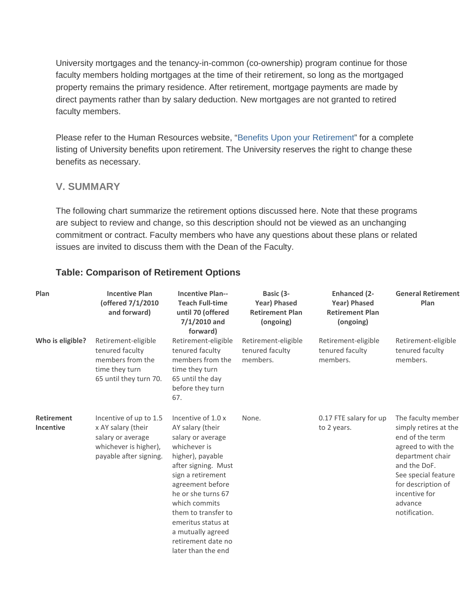University mortgages and the tenancy-in-common (co-ownership) program continue for those faculty members holding mortgages at the time of their retirement, so long as the mortgaged property remains the primary residence. After retirement, mortgage payments are made by direct payments rather than by salary deduction. New mortgages are not granted to retired faculty members.

Please refer to the Human Resources website, ["Benefits Upon your Retirement"](http://www.princeton.edu/hr/benefits/retiree) for a complete listing of University benefits upon retirement. The University reserves the right to change these benefits as necessary.

#### **V. SUMMARY**

The following chart summarize the retirement options discussed here. Note that these programs are subject to review and change, so this description should not be viewed as an unchanging commitment or contract. Faculty members who have any questions about these plans or related issues are invited to discuss them with the Dean of the Faculty.

#### **Table: Comparison of Retirement Options**

| Plan                                  | <b>Incentive Plan</b><br>(offered 7/1/2010<br>and forward)                                                           | <b>Incentive Plan--</b><br><b>Teach Full-time</b><br>until 70 (offered<br>$7/1/2010$ and<br>forward)                                                                                                                                                                                                                 | Basic (3-<br><b>Year) Phased</b><br><b>Retirement Plan</b><br>(ongoing) | <b>Enhanced (2-</b><br><b>Year) Phased</b><br><b>Retirement Plan</b><br>(ongoing) | <b>General Retirement</b><br>Plan                                                                                                                                                                                  |
|---------------------------------------|----------------------------------------------------------------------------------------------------------------------|----------------------------------------------------------------------------------------------------------------------------------------------------------------------------------------------------------------------------------------------------------------------------------------------------------------------|-------------------------------------------------------------------------|-----------------------------------------------------------------------------------|--------------------------------------------------------------------------------------------------------------------------------------------------------------------------------------------------------------------|
| Who is eligible?                      | Retirement-eligible<br>tenured faculty<br>members from the<br>time they turn<br>65 until they turn 70.               | Retirement-eligible<br>tenured faculty<br>members from the<br>time they turn<br>65 until the day<br>before they turn<br>67.                                                                                                                                                                                          | Retirement-eligible<br>tenured faculty<br>members.                      | Retirement-eligible<br>tenured faculty<br>members.                                | Retirement-eligible<br>tenured faculty<br>members.                                                                                                                                                                 |
| <b>Retirement</b><br><b>Incentive</b> | Incentive of up to 1.5<br>x AY salary (their<br>salary or average<br>whichever is higher),<br>payable after signing. | Incentive of 1.0 x<br>AY salary (their<br>salary or average<br>whichever is<br>higher), payable<br>after signing. Must<br>sign a retirement<br>agreement before<br>he or she turns 67<br>which commits<br>them to transfer to<br>emeritus status at<br>a mutually agreed<br>retirement date no<br>later than the end | None.                                                                   | 0.17 FTE salary for up<br>to 2 years.                                             | The faculty member<br>simply retires at the<br>end of the term<br>agreed to with the<br>department chair<br>and the DoF.<br>See special feature<br>for description of<br>incentive for<br>advance<br>notification. |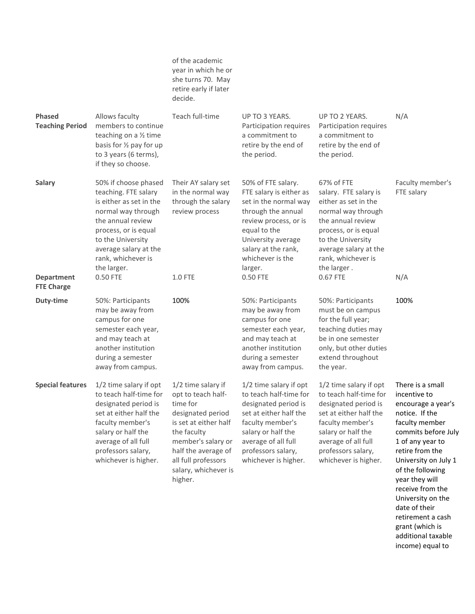|                                         |                                                                                                                                                                                                                               | of the academic<br>year in which he or<br>she turns 70. May<br>retire early if later<br>decide.                                                                                                                          |                                                                                                                                                                                                                   |                                                                                                                                                                                                                     |                                                                                                                                                                                                                                                                 |
|-----------------------------------------|-------------------------------------------------------------------------------------------------------------------------------------------------------------------------------------------------------------------------------|--------------------------------------------------------------------------------------------------------------------------------------------------------------------------------------------------------------------------|-------------------------------------------------------------------------------------------------------------------------------------------------------------------------------------------------------------------|---------------------------------------------------------------------------------------------------------------------------------------------------------------------------------------------------------------------|-----------------------------------------------------------------------------------------------------------------------------------------------------------------------------------------------------------------------------------------------------------------|
| <b>Phased</b><br><b>Teaching Period</b> | Allows faculty<br>members to continue<br>teaching on a 1/2 time<br>basis for 1/2 pay for up<br>to 3 years (6 terms),<br>if they so choose.                                                                                    | Teach full-time                                                                                                                                                                                                          | UP TO 3 YEARS.<br>Participation requires<br>a commitment to<br>retire by the end of<br>the period.                                                                                                                | UP TO 2 YEARS.<br>Participation requires<br>a commitment to<br>retire by the end of<br>the period.                                                                                                                  | N/A                                                                                                                                                                                                                                                             |
| <b>Salary</b>                           | 50% if choose phased<br>teaching. FTE salary<br>is either as set in the<br>normal way through<br>the annual review<br>process, or is equal<br>to the University<br>average salary at the<br>rank, whichever is<br>the larger. | Their AY salary set<br>in the normal way<br>through the salary<br>review process                                                                                                                                         | 50% of FTE salary.<br>FTE salary is either as<br>set in the normal way<br>through the annual<br>review process, or is<br>equal to the<br>University average<br>salary at the rank,<br>whichever is the<br>larger. | 67% of FTE<br>salary. FTE salary is<br>either as set in the<br>normal way through<br>the annual review<br>process, or is equal<br>to the University<br>average salary at the<br>rank, whichever is<br>the larger.   | Faculty member's<br>FTE salary                                                                                                                                                                                                                                  |
| <b>Department</b><br><b>FTE Charge</b>  | 0.50 FTE                                                                                                                                                                                                                      | 1.0 FTE                                                                                                                                                                                                                  | 0.50 FTE                                                                                                                                                                                                          | 0.67 FTE                                                                                                                                                                                                            | N/A                                                                                                                                                                                                                                                             |
| Duty-time                               | 50%: Participants<br>may be away from<br>campus for one<br>semester each year,<br>and may teach at<br>another institution<br>during a semester<br>away from campus.                                                           | 100%                                                                                                                                                                                                                     | 50%: Participants<br>may be away from<br>campus for one<br>semester each year,<br>and may teach at<br>another institution<br>during a semester<br>away from campus.                                               | 50%: Participants<br>must be on campus<br>for the full year;<br>teaching duties may<br>be in one semester<br>only, but other duties<br>extend throughout<br>the year.                                               | 100%                                                                                                                                                                                                                                                            |
| <b>Special features</b>                 | 1/2 time salary if opt<br>to teach half-time for<br>designated period is<br>set at either half the<br>faculty member's<br>salary or half the<br>average of all full<br>professors salary,<br>whichever is higher.             | 1/2 time salary if<br>opt to teach half-<br>time for<br>designated period<br>is set at either half<br>the faculty<br>member's salary or<br>half the average of<br>all full professors<br>salary, whichever is<br>higher. | 1/2 time salary if opt<br>to teach half-time for<br>designated period is<br>set at either half the<br>faculty member's<br>salary or half the<br>average of all full<br>professors salary,<br>whichever is higher. | $1/2$ time salary if opt<br>to teach half-time for<br>designated period is<br>set at either half the<br>faculty member's<br>salary or half the<br>average of all full<br>professors salary,<br>whichever is higher. | There is a small<br>incentive to<br>encourage a year's<br>notice. If the<br>faculty member<br>commits before July<br>1 of any year to<br>retire from the<br>University on July 1<br>of the following<br>year they will<br>receive from the<br>University on the |

date of their retirement a cash grant (which is additional taxable income) equal to